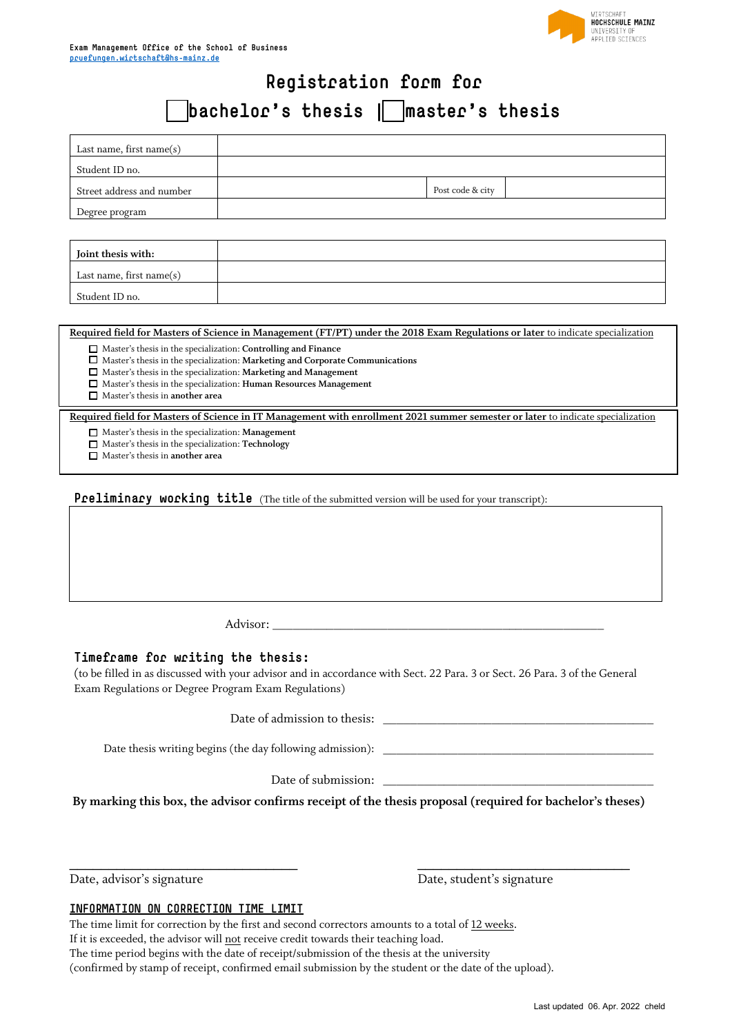

# **Registration form for**

# **bachelor's thesis | master's thesis**

| Last name, first name $(s)$ |                  |
|-----------------------------|------------------|
| Student ID no.              |                  |
| Street address and number   | Post code & city |
| Degree program              |                  |
|                             |                  |

| Joint thesis with:          |  |
|-----------------------------|--|
| Last name, first name $(s)$ |  |
| Student ID no.              |  |

**Required field for Masters of Science in Management (FT/PT) under the 2018 Exam Regulations or later** to indicate specialization

Master's thesis in the specialization: **Controlling and Finance**

Master's thesis in the specialization: **Marketing and Corporate Communications**

Master's thesis in the specialization: **Marketing and Management**

Master's thesis in the specialization: **Human Resources Management**

Master's thesis in **another area**

**Required field for Masters of Science in IT Management with enrollment 2021 summer semester or later** to indicate specialization

Master's thesis in the specialization: **Management**

Master's thesis in the specialization: **Technology**

Master's thesis in **another area**

**Preliminary working title** (The title of the submitted version will be used for your transcript):

Advisor: \_\_\_\_\_\_\_\_\_\_\_\_\_\_\_\_\_\_\_\_\_\_\_\_\_\_\_\_\_\_\_\_\_\_\_\_\_\_\_\_\_\_\_\_\_\_\_\_\_

#### **Timeframe for writing the thesis:**

(to be filled in as discussed with your advisor and in accordance with Sect. 22 Para. 3 or Sect. 26 Para. 3 of the General Exam Regulations or Degree Program Exam Regulations)

Date of admission to thesis: \_

Date thesis writing begins (the day following admission):

Date of submission:

**By marking this box, the advisor confirms receipt of the thesis proposal (required for bachelor's theses)**

\_\_\_\_\_\_\_\_\_\_\_\_\_\_\_\_\_\_\_\_\_\_\_\_\_\_\_\_\_ \_\_\_\_\_\_\_\_\_\_\_\_\_\_\_\_\_\_\_\_\_\_\_\_\_\_\_ Date, advisor's signature Date, student's signature

#### **INFORMATION ON CORRECTION TIME LIMIT**

The time limit for correction by the first and second correctors amounts to a total of 12 weeks. If it is exceeded, the advisor will not receive credit towards their teaching load. The time period begins with the date of receipt/submission of the thesis at the university (confirmed by stamp of receipt, confirmed email submission by the student or the date of the upload).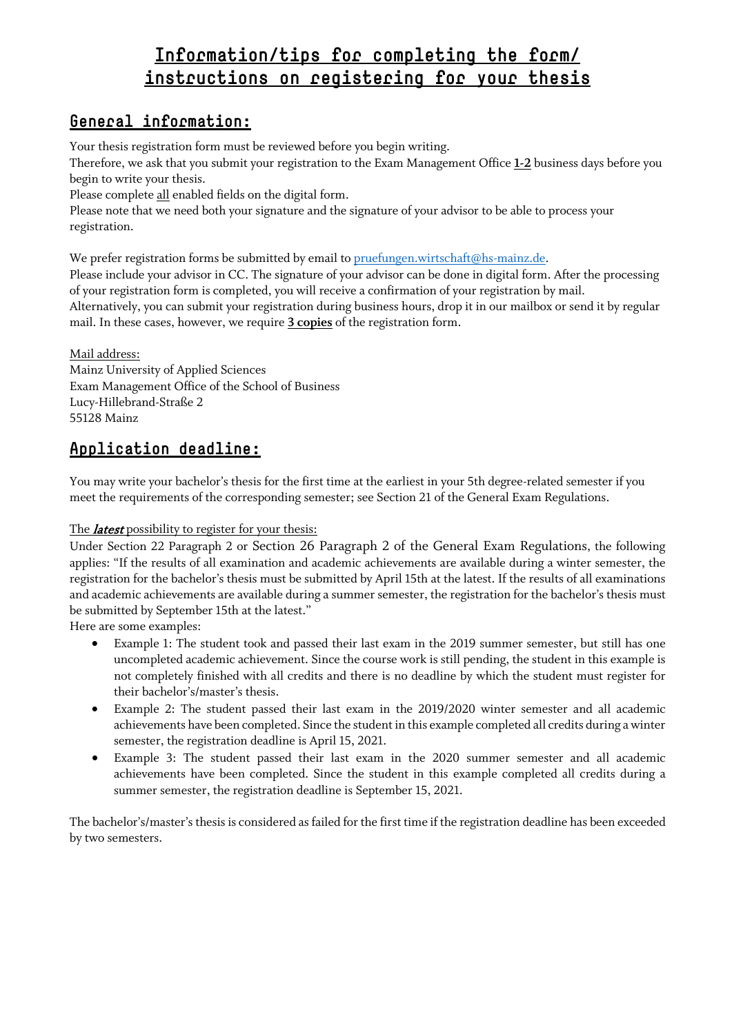## **Information/tips for completing the form/ instructions on registering for your thesis**

## **General information:**

Your thesis registration form must be reviewed before you begin writing.

Therefore, we ask that you submit your registration to the Exam Management Office **1-2** business days before you begin to write your thesis.

Please complete all enabled fields on the digital form.

Please note that we need both your signature and the signature of your advisor to be able to process your registration.

We prefer registration forms be submitted by email to [pruefungen.wirtschaft@hs-mainz.de.](mailto:pruefungen.wirtschaft@hs-mainz.de)

Please include your advisor in CC. The signature of your advisor can be done in digital form. After the processing of your registration form is completed, you will receive a confirmation of your registration by mail. Alternatively, you can submit your registration during business hours, drop it in our mailbox or send it by regular mail. In these cases, however, we require **3 copies** of the registration form.

Mail address: Mainz University of Applied Sciences Exam Management Office of the School of Business Lucy-Hillebrand-Straße 2 55128 Mainz

## **Application deadline:**

You may write your bachelor's thesis for the first time at the earliest in your 5th degree-related semester if you meet the requirements of the corresponding semester; see Section 21 of the General Exam Regulations.

#### The *latest* possibility to register for your thesis:

Under Section 22 Paragraph 2 or Section 26 Paragraph 2 of the General Exam Regulations, the following applies: "If the results of all examination and academic achievements are available during a winter semester, the registration for the bachelor's thesis must be submitted by April 15th at the latest. If the results of all examinations and academic achievements are available during a summer semester, the registration for the bachelor's thesis must be submitted by September 15th at the latest."

Here are some examples:

- Example 1: The student took and passed their last exam in the 2019 summer semester, but still has one uncompleted academic achievement. Since the course work is still pending, the student in this example is not completely finished with all credits and there is no deadline by which the student must register for their bachelor's/master's thesis.
- Example 2: The student passed their last exam in the 2019/2020 winter semester and all academic achievements have been completed. Since the student in this example completed all credits during a winter semester, the registration deadline is April 15, 2021.
- Example 3: The student passed their last exam in the 2020 summer semester and all academic achievements have been completed. Since the student in this example completed all credits during a summer semester, the registration deadline is September 15, 2021.

The bachelor's/master's thesis is considered as failed for the first time if the registration deadline has been exceeded by two semesters.